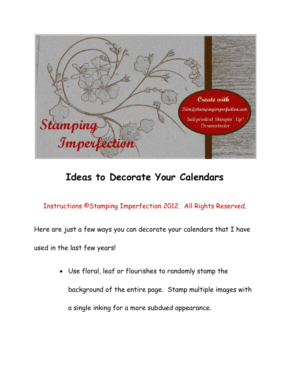

## **Ideas to Decorate Your Calendars**

Instructions ©Stamping Imperfection 2012. All Rights Reserved.

Here are just a few ways you can decorate your calendars that I have used in the last few years!

> Use floral, leaf or flourishes to randomly stamp the background of the entire page. Stamp multiple images with a single inking for a more subdued appearance.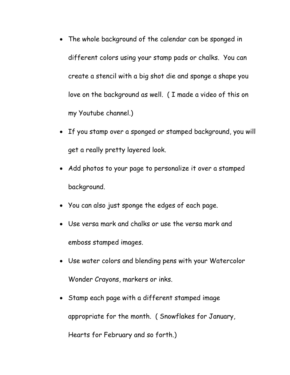- The whole background of the calendar can be sponged in different colors using your stamp pads or chalks. You can create a stencil with a big shot die and sponge a shape you love on the background as well. ( I made a video of this on my Youtube channel.)
- If you stamp over a sponged or stamped background, you will get a really pretty layered look.
- Add photos to your page to personalize it over a stamped background.
- You can also just sponge the edges of each page.
- Use versa mark and chalks or use the versa mark and emboss stamped images.
- Use water colors and blending pens with your Watercolor Wonder Crayons, markers or inks.
- Stamp each page with a different stamped image appropriate for the month. ( Snowflakes for January, Hearts for February and so forth.)